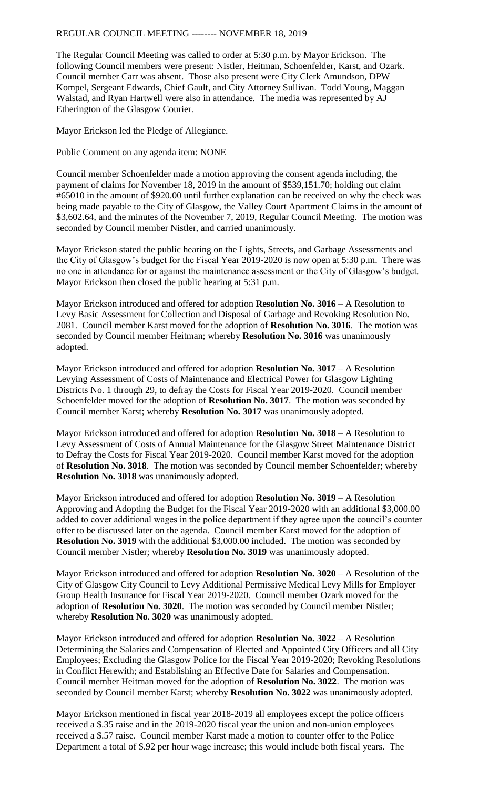The Regular Council Meeting was called to order at 5:30 p.m. by Mayor Erickson. The following Council members were present: Nistler, Heitman, Schoenfelder, Karst, and Ozark. Council member Carr was absent. Those also present were City Clerk Amundson, DPW Kompel, Sergeant Edwards, Chief Gault, and City Attorney Sullivan. Todd Young, Maggan Walstad, and Ryan Hartwell were also in attendance. The media was represented by AJ Etherington of the Glasgow Courier.

Mayor Erickson led the Pledge of Allegiance.

Public Comment on any agenda item: NONE

Council member Schoenfelder made a motion approving the consent agenda including, the payment of claims for November 18, 2019 in the amount of \$539,151.70; holding out claim #65010 in the amount of \$920.00 until further explanation can be received on why the check was being made payable to the City of Glasgow, the Valley Court Apartment Claims in the amount of \$3,602.64, and the minutes of the November 7, 2019, Regular Council Meeting. The motion was seconded by Council member Nistler, and carried unanimously.

Mayor Erickson stated the public hearing on the Lights, Streets, and Garbage Assessments and the City of Glasgow's budget for the Fiscal Year 2019-2020 is now open at 5:30 p.m. There was no one in attendance for or against the maintenance assessment or the City of Glasgow's budget. Mayor Erickson then closed the public hearing at 5:31 p.m.

Mayor Erickson introduced and offered for adoption **Resolution No. 3016** – A Resolution to Levy Basic Assessment for Collection and Disposal of Garbage and Revoking Resolution No. 2081. Council member Karst moved for the adoption of **Resolution No. 3016**. The motion was seconded by Council member Heitman; whereby **Resolution No. 3016** was unanimously adopted.

Mayor Erickson introduced and offered for adoption **Resolution No. 3017** – A Resolution Levying Assessment of Costs of Maintenance and Electrical Power for Glasgow Lighting Districts No. 1 through 29, to defray the Costs for Fiscal Year 2019-2020. Council member Schoenfelder moved for the adoption of **Resolution No. 3017**. The motion was seconded by Council member Karst; whereby **Resolution No. 3017** was unanimously adopted.

Mayor Erickson introduced and offered for adoption **Resolution No. 3018** – A Resolution to Levy Assessment of Costs of Annual Maintenance for the Glasgow Street Maintenance District to Defray the Costs for Fiscal Year 2019-2020. Council member Karst moved for the adoption of **Resolution No. 3018**. The motion was seconded by Council member Schoenfelder; whereby **Resolution No. 3018** was unanimously adopted.

Mayor Erickson introduced and offered for adoption **Resolution No. 3019** – A Resolution Approving and Adopting the Budget for the Fiscal Year 2019-2020 with an additional \$3,000.00 added to cover additional wages in the police department if they agree upon the council's counter offer to be discussed later on the agenda. Council member Karst moved for the adoption of **Resolution No. 3019** with the additional \$3,000.00 included. The motion was seconded by Council member Nistler; whereby **Resolution No. 3019** was unanimously adopted.

Mayor Erickson introduced and offered for adoption **Resolution No. 3020** – A Resolution of the City of Glasgow City Council to Levy Additional Permissive Medical Levy Mills for Employer Group Health Insurance for Fiscal Year 2019-2020. Council member Ozark moved for the adoption of **Resolution No. 3020**. The motion was seconded by Council member Nistler; whereby **Resolution No. 3020** was unanimously adopted.

Mayor Erickson introduced and offered for adoption **Resolution No. 3022** – A Resolution Determining the Salaries and Compensation of Elected and Appointed City Officers and all City Employees; Excluding the Glasgow Police for the Fiscal Year 2019-2020; Revoking Resolutions in Conflict Herewith; and Establishing an Effective Date for Salaries and Compensation. Council member Heitman moved for the adoption of **Resolution No. 3022**. The motion was seconded by Council member Karst; whereby **Resolution No. 3022** was unanimously adopted.

Mayor Erickson mentioned in fiscal year 2018-2019 all employees except the police officers received a \$.35 raise and in the 2019-2020 fiscal year the union and non-union employees received a \$.57 raise. Council member Karst made a motion to counter offer to the Police Department a total of \$.92 per hour wage increase; this would include both fiscal years. The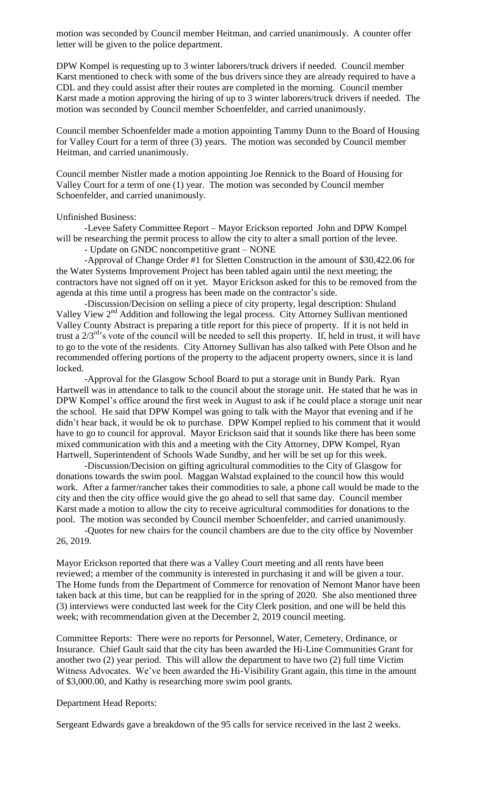motion was seconded by Council member Heitman, and carried unanimously. A counter offer letter will be given to the police department.

DPW Kompel is requesting up to 3 winter laborers/truck drivers if needed. Council member Karst mentioned to check with some of the bus drivers since they are already required to have a CDL and they could assist after their routes are completed in the morning. Council member Karst made a motion approving the hiring of up to 3 winter laborers/truck drivers if needed. The motion was seconded by Council member Schoenfelder, and carried unanimously.

Council member Schoenfelder made a motion appointing Tammy Dunn to the Board of Housing for Valley Court for a term of three (3) years. The motion was seconded by Council member Heitman, and carried unanimously.

Council member Nistler made a motion appointing Joe Rennick to the Board of Housing for Valley Court for a term of one (1) year. The motion was seconded by Council member Schoenfelder, and carried unanimously.

## Unfinished Business:

-Levee Safety Committee Report – Mayor Erickson reported John and DPW Kompel will be researching the permit process to allow the city to alter a small portion of the levee.

- Update on GNDC noncompetitive grant – NONE

-Approval of Change Order #1 for Sletten Construction in the amount of \$30,422.06 for the Water Systems Improvement Project has been tabled again until the next meeting; the contractors have not signed off on it yet. Mayor Erickson asked for this to be removed from the agenda at this time until a progress has been made on the contractor's side.

-Discussion/Decision on selling a piece of city property, legal description: Shuland Valley View  $2<sup>nd</sup>$  Addition and following the legal process. City Attorney Sullivan mentioned Valley County Abstract is preparing a title report for this piece of property. If it is not held in trust a 2/3rd's vote of the council will be needed to sell this property. If, held in trust, it will have to go to the vote of the residents. City Attorney Sullivan has also talked with Pete Olson and he recommended offering portions of the property to the adjacent property owners, since it is land locked.

-Approval for the Glasgow School Board to put a storage unit in Bundy Park. Ryan Hartwell was in attendance to talk to the council about the storage unit. He stated that he was in DPW Kompel's office around the first week in August to ask if he could place a storage unit near the school. He said that DPW Kompel was going to talk with the Mayor that evening and if he didn't hear back, it would be ok to purchase. DPW Kompel replied to his comment that it would have to go to council for approval. Mayor Erickson said that it sounds like there has been some mixed communication with this and a meeting with the City Attorney, DPW Kompel, Ryan Hartwell, Superintendent of Schools Wade Sundby, and her will be set up for this week.

-Discussion/Decision on gifting agricultural commodities to the City of Glasgow for donations towards the swim pool. Maggan Walstad explained to the council how this would work. After a farmer/rancher takes their commodities to sale, a phone call would be made to the city and then the city office would give the go ahead to sell that same day. Council member Karst made a motion to allow the city to receive agricultural commodities for donations to the pool. The motion was seconded by Council member Schoenfelder, and carried unanimously.

-Quotes for new chairs for the council chambers are due to the city office by November 26, 2019.

Mayor Erickson reported that there was a Valley Court meeting and all rents have been reviewed; a member of the community is interested in purchasing it and will be given a tour. The Home funds from the Department of Commerce for renovation of Nemont Manor have been taken back at this time, but can be reapplied for in the spring of 2020. She also mentioned three (3) interviews were conducted last week for the City Clerk position, and one will be held this week; with recommendation given at the December 2, 2019 council meeting.

Committee Reports: There were no reports for Personnel, Water, Cemetery, Ordinance, or Insurance. Chief Gault said that the city has been awarded the Hi-Line Communities Grant for another two (2) year period. This will allow the department to have two (2) full time Victim Witness Advocates. We've been awarded the Hi-Visibility Grant again, this time in the amount of \$3,000.00, and Kathy is researching more swim pool grants.

## Department Head Reports:

Sergeant Edwards gave a breakdown of the 95 calls for service received in the last 2 weeks.